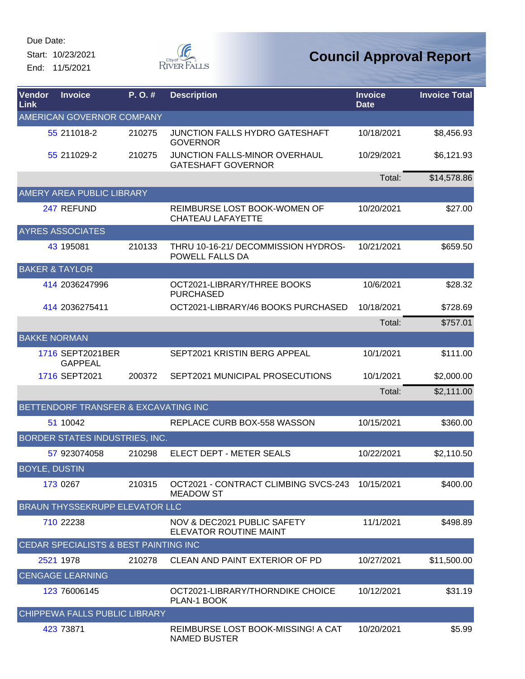Start: 10/23/2021 End: 11/5/2021



| Vendor<br>Link            | <b>Invoice</b>                        | P.O.#  | <b>Description</b>                                         | <b>Invoice</b><br><b>Date</b> | <b>Invoice Total</b> |
|---------------------------|---------------------------------------|--------|------------------------------------------------------------|-------------------------------|----------------------|
|                           | AMERICAN GOVERNOR COMPANY             |        |                                                            |                               |                      |
|                           | 55 211018-2                           | 210275 | JUNCTION FALLS HYDRO GATESHAFT<br><b>GOVERNOR</b>          | 10/18/2021                    | \$8,456.93           |
|                           | 55 211029-2                           | 210275 | JUNCTION FALLS-MINOR OVERHAUL<br><b>GATESHAFT GOVERNOR</b> | 10/29/2021                    | \$6,121.93           |
|                           |                                       |        |                                                            | Total:                        | \$14,578.86          |
|                           | <b>AMERY AREA PUBLIC LIBRARY</b>      |        |                                                            |                               |                      |
|                           | 247 REFUND                            |        | REIMBURSE LOST BOOK-WOMEN OF<br><b>CHATEAU LAFAYETTE</b>   | 10/20/2021                    | \$27.00              |
|                           | <b>AYRES ASSOCIATES</b>               |        |                                                            |                               |                      |
|                           | 43 195081                             | 210133 | THRU 10-16-21/ DECOMMISSION HYDROS-<br>POWELL FALLS DA     | 10/21/2021                    | \$659.50             |
| <b>BAKER &amp; TAYLOR</b> |                                       |        |                                                            |                               |                      |
|                           | 414 2036247996                        |        | OCT2021-LIBRARY/THREE BOOKS<br><b>PURCHASED</b>            | 10/6/2021                     | \$28.32              |
|                           | 414 2036275411                        |        | OCT2021-LIBRARY/46 BOOKS PURCHASED                         | 10/18/2021                    | \$728.69             |
|                           |                                       |        |                                                            | Total:                        | \$757.01             |
| <b>BAKKE NORMAN</b>       |                                       |        |                                                            |                               |                      |
|                           | 1716 SEPT2021BER<br><b>GAPPEAL</b>    |        | SEPT2021 KRISTIN BERG APPEAL                               | 10/1/2021                     | \$111.00             |
|                           | 1716 SEPT2021                         | 200372 | SEPT2021 MUNICIPAL PROSECUTIONS                            | 10/1/2021                     | \$2,000.00           |
|                           |                                       |        |                                                            | Total:                        | \$2,111.00           |
|                           | BETTENDORF TRANSFER & EXCAVATING INC  |        |                                                            |                               |                      |
|                           | 51 10042                              |        | REPLACE CURB BOX-558 WASSON                                | 10/15/2021                    | \$360.00             |
|                           | BORDER STATES INDUSTRIES, INC.        |        |                                                            |                               |                      |
|                           | 57 923074058                          | 210298 | ELECT DEPT - METER SEALS                                   | 10/22/2021                    | \$2,110.50           |
| <b>BOYLE, DUSTIN</b>      |                                       |        |                                                            |                               |                      |
|                           | 173 0267                              | 210315 | OCT2021 - CONTRACT CLIMBING SVCS-243<br><b>MEADOW ST</b>   | 10/15/2021                    | \$400.00             |
|                           | <b>BRAUN THYSSEKRUPP ELEVATOR LLC</b> |        |                                                            |                               |                      |
|                           | 710 22238                             |        | NOV & DEC2021 PUBLIC SAFETY<br>ELEVATOR ROUTINE MAINT      | 11/1/2021                     | \$498.89             |
|                           | CEDAR SPECIALISTS & BEST PAINTING INC |        |                                                            |                               |                      |
|                           | 2521 1978                             | 210278 | CLEAN AND PAINT EXTERIOR OF PD                             | 10/27/2021                    | \$11,500.00          |
|                           | <b>CENGAGE LEARNING</b>               |        |                                                            |                               |                      |
|                           | 123 76006145                          |        | OCT2021-LIBRARY/THORNDIKE CHOICE<br>PLAN-1 BOOK            | 10/12/2021                    | \$31.19              |
|                           | CHIPPEWA FALLS PUBLIC LIBRARY         |        |                                                            |                               |                      |
|                           | 423 73871                             |        | REIMBURSE LOST BOOK-MISSING! A CAT<br><b>NAMED BUSTER</b>  | 10/20/2021                    | \$5.99               |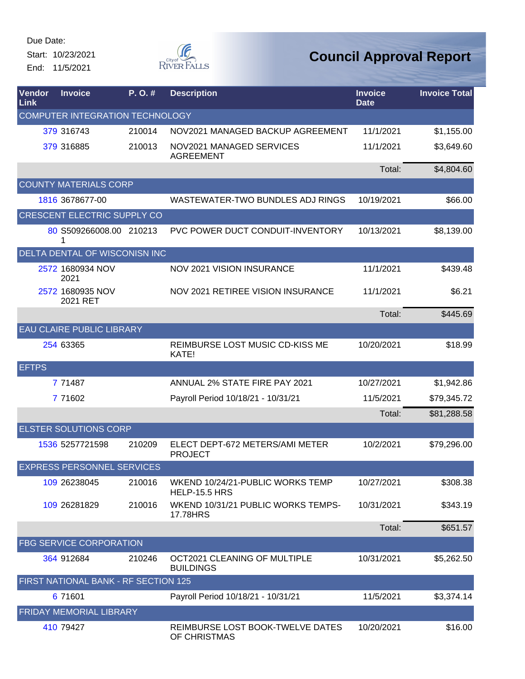Start: 10/23/2021 End: 11/5/2021



| Vendor<br>Link | <b>Invoice</b>                       | P.O.#  | <b>Description</b>                                       | <b>Invoice</b><br><b>Date</b> | <b>Invoice Total</b> |  |  |  |
|----------------|--------------------------------------|--------|----------------------------------------------------------|-------------------------------|----------------------|--|--|--|
|                | COMPUTER INTEGRATION TECHNOLOGY      |        |                                                          |                               |                      |  |  |  |
|                | 379 316743                           | 210014 | NOV2021 MANAGED BACKUP AGREEMENT                         | 11/1/2021                     | \$1,155.00           |  |  |  |
|                | 379 316885                           | 210013 | NOV2021 MANAGED SERVICES<br><b>AGREEMENT</b>             | 11/1/2021                     | \$3,649.60           |  |  |  |
|                |                                      |        |                                                          | Total:                        | \$4,804.60           |  |  |  |
|                | <b>COUNTY MATERIALS CORP</b>         |        |                                                          |                               |                      |  |  |  |
|                | 1816 3678677-00                      |        | WASTEWATER-TWO BUNDLES ADJ RINGS                         | 10/19/2021                    | \$66.00              |  |  |  |
|                | CRESCENT ELECTRIC SUPPLY CO          |        |                                                          |                               |                      |  |  |  |
|                | 80 S509266008.00 210213<br>1         |        | PVC POWER DUCT CONDUIT-INVENTORY                         | 10/13/2021                    | \$8,139.00           |  |  |  |
|                | DELTA DENTAL OF WISCONISN INC        |        |                                                          |                               |                      |  |  |  |
|                | 2572 1680934 NOV<br>2021             |        | NOV 2021 VISION INSURANCE                                | 11/1/2021                     | \$439.48             |  |  |  |
|                | 2572 1680935 NOV<br>2021 RET         |        | NOV 2021 RETIREE VISION INSURANCE                        | 11/1/2021                     | \$6.21               |  |  |  |
|                |                                      |        |                                                          | Total:                        | \$445.69             |  |  |  |
|                | <b>EAU CLAIRE PUBLIC LIBRARY</b>     |        |                                                          |                               |                      |  |  |  |
|                | 254 63365                            |        | REIMBURSE LOST MUSIC CD-KISS ME<br>KATE!                 | 10/20/2021                    | \$18.99              |  |  |  |
| <b>EFTPS</b>   |                                      |        |                                                          |                               |                      |  |  |  |
|                | 7 71487                              |        | ANNUAL 2% STATE FIRE PAY 2021                            | 10/27/2021                    | \$1,942.86           |  |  |  |
|                | 7 71602                              |        | Payroll Period 10/18/21 - 10/31/21                       | 11/5/2021                     | \$79,345.72          |  |  |  |
|                |                                      |        |                                                          | Total:                        | \$81,288.58          |  |  |  |
|                | <b>ELSTER SOLUTIONS CORP</b>         |        |                                                          |                               |                      |  |  |  |
|                | 1536 5257721598                      | 210209 | ELECT DEPT-672 METERS/AMI METER<br><b>PROJECT</b>        | 10/2/2021                     | \$79,296.00          |  |  |  |
|                | <b>EXPRESS PERSONNEL SERVICES</b>    |        |                                                          |                               |                      |  |  |  |
|                | 109 26238045                         | 210016 | WKEND 10/24/21-PUBLIC WORKS TEMP<br><b>HELP-15.5 HRS</b> | 10/27/2021                    | \$308.38             |  |  |  |
|                | 109 26281829                         | 210016 | WKEND 10/31/21 PUBLIC WORKS TEMPS-<br><b>17.78HRS</b>    | 10/31/2021                    | \$343.19             |  |  |  |
|                |                                      |        |                                                          | Total:                        | \$651.57             |  |  |  |
|                | <b>FBG SERVICE CORPORATION</b>       |        |                                                          |                               |                      |  |  |  |
|                | 364 912684                           | 210246 | OCT2021 CLEANING OF MULTIPLE<br><b>BUILDINGS</b>         | 10/31/2021                    | \$5,262.50           |  |  |  |
|                | FIRST NATIONAL BANK - RF SECTION 125 |        |                                                          |                               |                      |  |  |  |
|                | 6 71601                              |        | Payroll Period 10/18/21 - 10/31/21                       | 11/5/2021                     | \$3,374.14           |  |  |  |
|                | FRIDAY MEMORIAL LIBRARY              |        |                                                          |                               |                      |  |  |  |
|                | 410 79427                            |        | REIMBURSE LOST BOOK-TWELVE DATES<br>OF CHRISTMAS         | 10/20/2021                    | \$16.00              |  |  |  |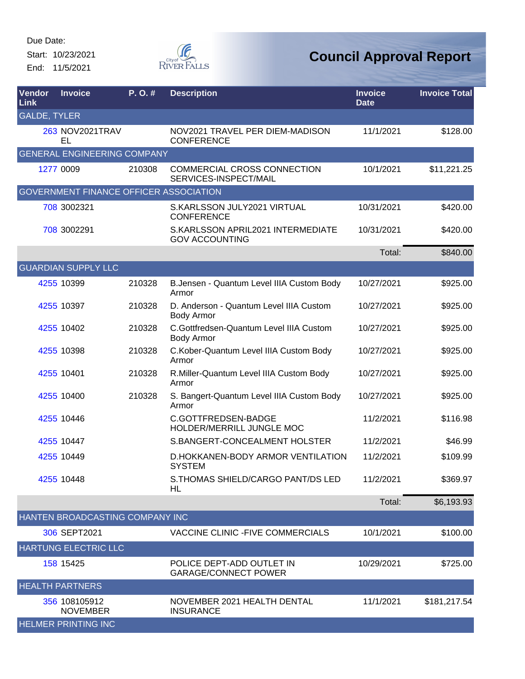Start: 10/23/2021 End: 11/5/2021



| Vendor<br>Link      | <b>Invoice</b>                                | P.O.#  | <b>Description</b>                                           | <b>Invoice</b><br><b>Date</b> | <b>Invoice Total</b> |
|---------------------|-----------------------------------------------|--------|--------------------------------------------------------------|-------------------------------|----------------------|
| <b>GALDE, TYLER</b> |                                               |        |                                                              |                               |                      |
|                     | 263 NOV2021TRAV<br>EL                         |        | NOV2021 TRAVEL PER DIEM-MADISON<br><b>CONFERENCE</b>         | 11/1/2021                     | \$128.00             |
|                     | <b>GENERAL ENGINEERING COMPANY</b>            |        |                                                              |                               |                      |
|                     | 1277 0009                                     | 210308 | <b>COMMERCIAL CROSS CONNECTION</b><br>SERVICES-INSPECT/MAIL  | 10/1/2021                     | \$11,221.25          |
|                     | <b>GOVERNMENT FINANCE OFFICER ASSOCIATION</b> |        |                                                              |                               |                      |
|                     | 708 3002321                                   |        | S.KARLSSON JULY2021 VIRTUAL<br><b>CONFERENCE</b>             | 10/31/2021                    | \$420.00             |
|                     | 708 3002291                                   |        | S.KARLSSON APRIL2021 INTERMEDIATE<br><b>GOV ACCOUNTING</b>   | 10/31/2021                    | \$420.00             |
|                     |                                               |        |                                                              | Total:                        | \$840.00             |
|                     | <b>GUARDIAN SUPPLY LLC</b>                    |        |                                                              |                               |                      |
|                     | 4255 10399                                    | 210328 | B.Jensen - Quantum Level IIIA Custom Body<br>Armor           | 10/27/2021                    | \$925.00             |
|                     | 4255 10397                                    | 210328 | D. Anderson - Quantum Level IIIA Custom<br><b>Body Armor</b> | 10/27/2021                    | \$925.00             |
|                     | 4255 10402                                    | 210328 | C.Gottfredsen-Quantum Level IIIA Custom<br>Body Armor        | 10/27/2021                    | \$925.00             |
|                     | 4255 10398                                    | 210328 | C.Kober-Quantum Level IIIA Custom Body<br>Armor              | 10/27/2021                    | \$925.00             |
|                     | 4255 10401                                    | 210328 | R.Miller-Quantum Level IIIA Custom Body<br>Armor             | 10/27/2021                    | \$925.00             |
|                     | 4255 10400                                    | 210328 | S. Bangert-Quantum Level IIIA Custom Body<br>Armor           | 10/27/2021                    | \$925.00             |
|                     | 4255 10446                                    |        | C.GOTTFREDSEN-BADGE<br>HOLDER/MERRILL JUNGLE MOC             | 11/2/2021                     | \$116.98             |
|                     | 4255 10447                                    |        | S.BANGERT-CONCEALMENT HOLSTER                                | 11/2/2021                     | \$46.99              |
|                     | 4255 10449                                    |        | D.HOKKANEN-BODY ARMOR VENTILATION<br><b>SYSTEM</b>           | 11/2/2021                     | \$109.99             |
|                     | 4255 10448                                    |        | S. THOMAS SHIELD/CARGO PANT/DS LED<br>HL                     | 11/2/2021                     | \$369.97             |
|                     |                                               |        |                                                              | Total:                        | \$6,193.93           |
|                     | HANTEN BROADCASTING COMPANY INC               |        |                                                              |                               |                      |
|                     | 306 SEPT2021                                  |        | VACCINE CLINIC - FIVE COMMERCIALS                            | 10/1/2021                     | \$100.00             |
|                     | <b>HARTUNG ELECTRIC LLC</b>                   |        |                                                              |                               |                      |
|                     | 158 15425                                     |        | POLICE DEPT-ADD OUTLET IN<br><b>GARAGE/CONNECT POWER</b>     | 10/29/2021                    | \$725.00             |
|                     | <b>HEALTH PARTNERS</b>                        |        |                                                              |                               |                      |
|                     | 356 108105912<br><b>NOVEMBER</b>              |        | NOVEMBER 2021 HEALTH DENTAL<br><b>INSURANCE</b>              | 11/1/2021                     | \$181,217.54         |
|                     | <b>HELMER PRINTING INC</b>                    |        |                                                              |                               |                      |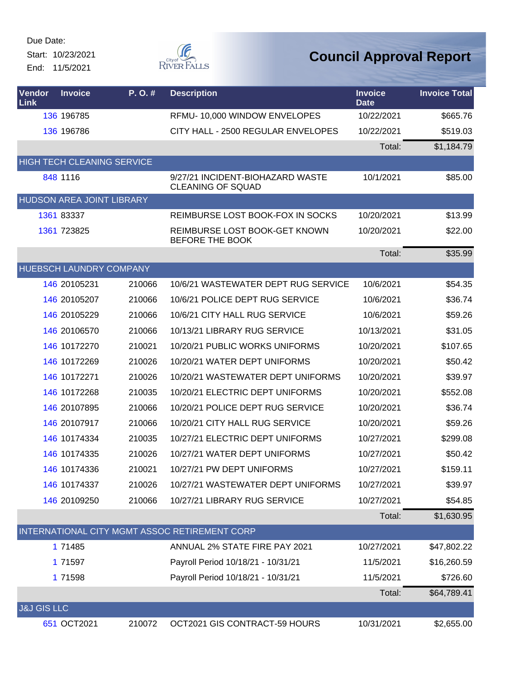Start: 10/23/2021 End: 11/5/2021



| Vendor<br>Link         | <b>Invoice</b>            | P.O.#                             | <b>Description</b>                                           | <b>Invoice</b><br><b>Date</b> | <b>Invoice Total</b> |
|------------------------|---------------------------|-----------------------------------|--------------------------------------------------------------|-------------------------------|----------------------|
|                        | 136 196785                |                                   | RFMU- 10,000 WINDOW ENVELOPES                                | 10/22/2021                    | \$665.76             |
|                        | 136 196786                |                                   | CITY HALL - 2500 REGULAR ENVELOPES                           | 10/22/2021                    | \$519.03             |
|                        |                           |                                   |                                                              | Total:                        | \$1,184.79           |
|                        |                           | <b>HIGH TECH CLEANING SERVICE</b> |                                                              |                               |                      |
|                        | 848 1116                  |                                   | 9/27/21 INCIDENT-BIOHAZARD WASTE<br><b>CLEANING OF SQUAD</b> | 10/1/2021                     | \$85.00              |
|                        | HUDSON AREA JOINT LIBRARY |                                   |                                                              |                               |                      |
|                        | 1361 83337                |                                   | REIMBURSE LOST BOOK-FOX IN SOCKS                             | 10/20/2021                    | \$13.99              |
|                        | 1361 723825               |                                   | REIMBURSE LOST BOOK-GET KNOWN<br>BEFORE THE BOOK             | 10/20/2021                    | \$22.00              |
|                        |                           |                                   |                                                              | Total:                        | \$35.99              |
|                        |                           | HUEBSCH LAUNDRY COMPANY           |                                                              |                               |                      |
|                        | 146 20105231              | 210066                            | 10/6/21 WASTEWATER DEPT RUG SERVICE                          | 10/6/2021                     | \$54.35              |
|                        | 146 20105207              | 210066                            | 10/6/21 POLICE DEPT RUG SERVICE                              | 10/6/2021                     | \$36.74              |
|                        | 146 20105229              | 210066                            | 10/6/21 CITY HALL RUG SERVICE                                | 10/6/2021                     | \$59.26              |
|                        | 146 20106570              | 210066                            | 10/13/21 LIBRARY RUG SERVICE                                 | 10/13/2021                    | \$31.05              |
|                        | 146 10172270              | 210021                            | 10/20/21 PUBLIC WORKS UNIFORMS                               | 10/20/2021                    | \$107.65             |
|                        | 146 10172269              | 210026                            | 10/20/21 WATER DEPT UNIFORMS                                 | 10/20/2021                    | \$50.42              |
|                        | 146 10172271              | 210026                            | 10/20/21 WASTEWATER DEPT UNIFORMS                            | 10/20/2021                    | \$39.97              |
|                        | 146 10172268              | 210035                            | 10/20/21 ELECTRIC DEPT UNIFORMS                              | 10/20/2021                    | \$552.08             |
|                        | 146 20107895              | 210066                            | 10/20/21 POLICE DEPT RUG SERVICE                             | 10/20/2021                    | \$36.74              |
|                        | 146 20107917              | 210066                            | 10/20/21 CITY HALL RUG SERVICE                               | 10/20/2021                    | \$59.26              |
|                        | 146 10174334              | 210035                            | 10/27/21 ELECTRIC DEPT UNIFORMS                              | 10/27/2021                    | \$299.08             |
|                        | 146 10174335              | 210026                            | 10/27/21 WATER DEPT UNIFORMS                                 | 10/27/2021                    | \$50.42              |
|                        | 146 10174336              | 210021                            | 10/27/21 PW DEPT UNIFORMS                                    | 10/27/2021                    | \$159.11             |
|                        | 146 10174337              | 210026                            | 10/27/21 WASTEWATER DEPT UNIFORMS                            | 10/27/2021                    | \$39.97              |
|                        | 146 20109250              | 210066                            | 10/27/21 LIBRARY RUG SERVICE                                 | 10/27/2021                    | \$54.85              |
|                        |                           |                                   |                                                              | Total:                        | \$1,630.95           |
|                        |                           |                                   | INTERNATIONAL CITY MGMT ASSOC RETIREMENT CORP                |                               |                      |
|                        | 1 71485                   |                                   | ANNUAL 2% STATE FIRE PAY 2021                                | 10/27/2021                    | \$47,802.22          |
|                        | 1 71597                   |                                   | Payroll Period 10/18/21 - 10/31/21                           | 11/5/2021                     | \$16,260.59          |
|                        | 1 71598                   |                                   | Payroll Period 10/18/21 - 10/31/21                           | 11/5/2021                     | \$726.60             |
|                        |                           |                                   |                                                              | Total:                        | \$64,789.41          |
| <b>J&amp;J GIS LLC</b> |                           |                                   |                                                              |                               |                      |
|                        | 651 OCT2021               | 210072                            | OCT2021 GIS CONTRACT-59 HOURS                                | 10/31/2021                    | \$2,655.00           |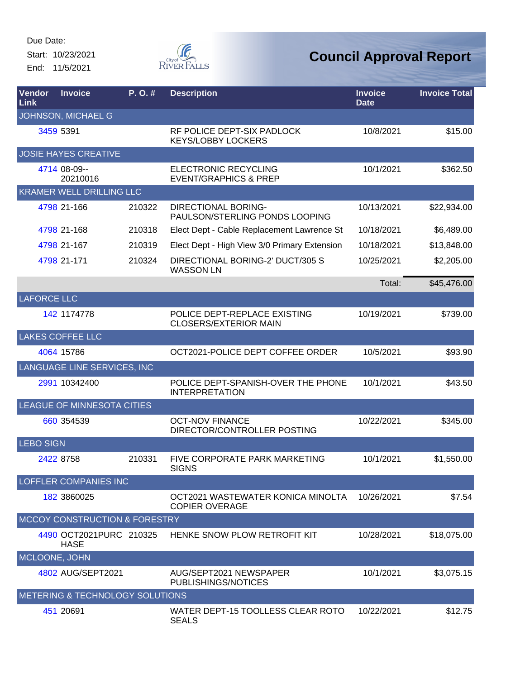Start: 10/23/2021 End: 11/5/2021



| Vendor<br>Link     | <b>Invoice</b>                           | $P. O.$ # | <b>Description</b>                                              | <b>Invoice</b><br><b>Date</b> | <b>Invoice Total</b> |
|--------------------|------------------------------------------|-----------|-----------------------------------------------------------------|-------------------------------|----------------------|
|                    | JOHNSON, MICHAEL G                       |           |                                                                 |                               |                      |
|                    | 3459 5391                                |           | RF POLICE DEPT-SIX PADLOCK<br><b>KEYS/LOBBY LOCKERS</b>         | 10/8/2021                     | \$15.00              |
|                    | <b>JOSIE HAYES CREATIVE</b>              |           |                                                                 |                               |                      |
|                    | 4714 08-09--<br>20210016                 |           | <b>ELECTRONIC RECYCLING</b><br><b>EVENT/GRAPHICS &amp; PREP</b> | 10/1/2021                     | \$362.50             |
|                    | <b>KRAMER WELL DRILLING LLC</b>          |           |                                                                 |                               |                      |
|                    | 4798 21-166                              | 210322    | <b>DIRECTIONAL BORING-</b><br>PAULSON/STERLING PONDS LOOPING    | 10/13/2021                    | \$22,934.00          |
|                    | 4798 21-168                              | 210318    | Elect Dept - Cable Replacement Lawrence St                      | 10/18/2021                    | \$6,489.00           |
|                    | 4798 21-167                              | 210319    | Elect Dept - High View 3/0 Primary Extension                    | 10/18/2021                    | \$13,848.00          |
|                    | 4798 21-171                              | 210324    | DIRECTIONAL BORING-2' DUCT/305 S<br><b>WASSON LN</b>            | 10/25/2021                    | \$2,205.00           |
|                    |                                          |           |                                                                 | Total:                        | \$45,476.00          |
| <b>LAFORCE LLC</b> |                                          |           |                                                                 |                               |                      |
|                    | 142 1174778                              |           | POLICE DEPT-REPLACE EXISTING<br><b>CLOSERS/EXTERIOR MAIN</b>    | 10/19/2021                    | \$739.00             |
|                    | <b>LAKES COFFEE LLC</b>                  |           |                                                                 |                               |                      |
|                    | 4064 15786                               |           | OCT2021-POLICE DEPT COFFEE ORDER                                | 10/5/2021                     | \$93.90              |
|                    | LANGUAGE LINE SERVICES, INC              |           |                                                                 |                               |                      |
|                    | 2991 10342400                            |           | POLICE DEPT-SPANISH-OVER THE PHONE<br><b>INTERPRETATION</b>     | 10/1/2021                     | \$43.50              |
|                    | LEAGUE OF MINNESOTA CITIES               |           |                                                                 |                               |                      |
|                    | 660 354539                               |           | <b>OCT-NOV FINANCE</b><br>DIRECTOR/CONTROLLER POSTING           | 10/22/2021                    | \$345.00             |
| <b>LEBO SIGN</b>   |                                          |           |                                                                 |                               |                      |
|                    | 2422 8758                                | 210331    | FIVE CORPORATE PARK MARKETING<br><b>SIGNS</b>                   | 10/1/2021                     | \$1,550.00           |
|                    | <b>LOFFLER COMPANIES INC</b>             |           |                                                                 |                               |                      |
|                    | 182 3860025                              |           | OCT2021 WASTEWATER KONICA MINOLTA<br><b>COPIER OVERAGE</b>      | 10/26/2021                    | \$7.54               |
|                    | <b>MCCOY CONSTRUCTION &amp; FORESTRY</b> |           |                                                                 |                               |                      |
|                    | 4490 OCT2021PURC 210325<br><b>HASE</b>   |           | HENKE SNOW PLOW RETROFIT KIT                                    | 10/28/2021                    | \$18,075.00          |
| MCLOONE, JOHN      |                                          |           |                                                                 |                               |                      |
|                    | 4802 AUG/SEPT2021                        |           | AUG/SEPT2021 NEWSPAPER<br>PUBLISHINGS/NOTICES                   | 10/1/2021                     | \$3,075.15           |
|                    | METERING & TECHNOLOGY SOLUTIONS          |           |                                                                 |                               |                      |
|                    | 451 20691                                |           | WATER DEPT-15 TOOLLESS CLEAR ROTO<br><b>SEALS</b>               | 10/22/2021                    | \$12.75              |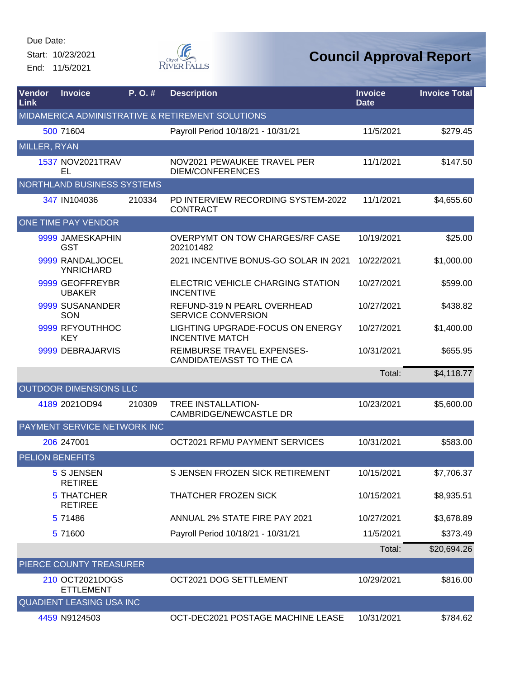Start: 10/23/2021 End: 11/5/2021



| <b>Vendor</b><br><b>Link</b> | <b>Invoice</b>                       | $P. O.$ # | <b>Description</b>                                         | <b>Invoice</b><br><b>Date</b> | <b>Invoice Total</b> |
|------------------------------|--------------------------------------|-----------|------------------------------------------------------------|-------------------------------|----------------------|
|                              |                                      |           | MIDAMERICA ADMINISTRATIVE & RETIREMENT SOLUTIONS           |                               |                      |
|                              | 500 71604                            |           | Payroll Period 10/18/21 - 10/31/21                         | 11/5/2021                     | \$279.45             |
| MILLER, RYAN                 |                                      |           |                                                            |                               |                      |
|                              | 1537 NOV2021TRAV<br>EL               |           | NOV2021 PEWAUKEE TRAVEL PER<br><b>DIEM/CONFERENCES</b>     | 11/1/2021                     | \$147.50             |
|                              | NORTHLAND BUSINESS SYSTEMS           |           |                                                            |                               |                      |
|                              | 347 IN104036                         | 210334    | PD INTERVIEW RECORDING SYSTEM-2022<br><b>CONTRACT</b>      | 11/1/2021                     | \$4,655.60           |
|                              | ONE TIME PAY VENDOR                  |           |                                                            |                               |                      |
|                              | 9999 JAMESKAPHIN<br><b>GST</b>       |           | OVERPYMT ON TOW CHARGES/RF CASE<br>202101482               | 10/19/2021                    | \$25.00              |
|                              | 9999 RANDALJOCEL<br><b>YNRICHARD</b> |           | 2021 INCENTIVE BONUS-GO SOLAR IN 2021                      | 10/22/2021                    | \$1,000.00           |
|                              | 9999 GEOFFREYBR<br><b>UBAKER</b>     |           | ELECTRIC VEHICLE CHARGING STATION<br><b>INCENTIVE</b>      | 10/27/2021                    | \$599.00             |
|                              | 9999 SUSANANDER<br>SON               |           | REFUND-319 N PEARL OVERHEAD<br><b>SERVICE CONVERSION</b>   | 10/27/2021                    | \$438.82             |
|                              | 9999 RFYOUTHHOC<br><b>KEY</b>        |           | LIGHTING UPGRADE-FOCUS ON ENERGY<br><b>INCENTIVE MATCH</b> | 10/27/2021                    | \$1,400.00           |
|                              | 9999 DEBRAJARVIS                     |           | REIMBURSE TRAVEL EXPENSES-<br>CANDIDATE/ASST TO THE CA     | 10/31/2021                    | \$655.95             |
|                              |                                      |           |                                                            | Total:                        | \$4,118.77           |
|                              | OUTDOOR DIMENSIONS LLC               |           |                                                            |                               |                      |
|                              | 4189 2021OD94                        | 210309    | TREE INSTALLATION-<br><b>CAMBRIDGE/NEWCASTLE DR</b>        | 10/23/2021                    | \$5,600.00           |
|                              | PAYMENT SERVICE NETWORK INC          |           |                                                            |                               |                      |
|                              | 206 247001                           |           | OCT2021 RFMU PAYMENT SERVICES                              | 10/31/2021                    | \$583.00             |
|                              | <b>PELION BENEFITS</b>               |           |                                                            |                               |                      |
|                              | 5 S JENSEN<br><b>RETIREE</b>         |           | S JENSEN FROZEN SICK RETIREMENT                            | 10/15/2021                    | \$7,706.37           |
|                              | <b>5 THATCHER</b><br><b>RETIREE</b>  |           | THATCHER FROZEN SICK                                       | 10/15/2021                    | \$8,935.51           |
|                              | 5 71486                              |           | ANNUAL 2% STATE FIRE PAY 2021                              | 10/27/2021                    | \$3,678.89           |
|                              | 5 71600                              |           | Payroll Period 10/18/21 - 10/31/21                         | 11/5/2021                     | \$373.49             |
|                              |                                      |           |                                                            | Total:                        | \$20,694.26          |
|                              | PIERCE COUNTY TREASURER              |           |                                                            |                               |                      |
|                              | 210 OCT2021DOGS<br><b>ETTLEMENT</b>  |           | OCT2021 DOG SETTLEMENT                                     | 10/29/2021                    | \$816.00             |
|                              | <b>QUADIENT LEASING USA INC</b>      |           |                                                            |                               |                      |
|                              | 4459 N9124503                        |           | OCT-DEC2021 POSTAGE MACHINE LEASE                          | 10/31/2021                    | \$784.62             |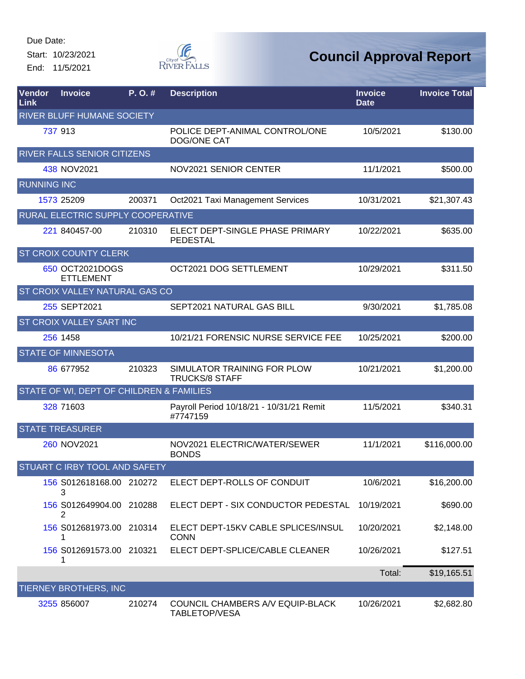Start: 10/23/2021 End: 11/5/2021



| Vendor<br>Link     | <b>Invoice</b>                           | P. O. # | <b>Description</b>                                   | <b>Invoice</b><br><b>Date</b> | <b>Invoice Total</b> |
|--------------------|------------------------------------------|---------|------------------------------------------------------|-------------------------------|----------------------|
|                    | <b>RIVER BLUFF HUMANE SOCIETY</b>        |         |                                                      |                               |                      |
|                    | 737 913                                  |         | POLICE DEPT-ANIMAL CONTROL/ONE<br><b>DOG/ONE CAT</b> | 10/5/2021                     | \$130.00             |
|                    | RIVER FALLS SENIOR CITIZENS              |         |                                                      |                               |                      |
|                    | 438 NOV2021                              |         | NOV2021 SENIOR CENTER                                | 11/1/2021                     | \$500.00             |
| <b>RUNNING INC</b> |                                          |         |                                                      |                               |                      |
|                    | 1573 25209                               | 200371  | Oct2021 Taxi Management Services                     | 10/31/2021                    | \$21,307.43          |
|                    | RURAL ELECTRIC SUPPLY COOPERATIVE        |         |                                                      |                               |                      |
|                    | 221 840457-00                            | 210310  | ELECT DEPT-SINGLE PHASE PRIMARY<br>PEDESTAL          | 10/22/2021                    | \$635.00             |
|                    | ST CROIX COUNTY CLERK                    |         |                                                      |                               |                      |
|                    | 650 OCT2021DOGS<br><b>ETTLEMENT</b>      |         | OCT2021 DOG SETTLEMENT                               | 10/29/2021                    | \$311.50             |
|                    | ST CROIX VALLEY NATURAL GAS CO           |         |                                                      |                               |                      |
|                    | 255 SEPT2021                             |         | SEPT2021 NATURAL GAS BILL                            | 9/30/2021                     | \$1,785.08           |
|                    | ST CROIX VALLEY SART INC                 |         |                                                      |                               |                      |
|                    | 256 1458                                 |         | 10/21/21 FORENSIC NURSE SERVICE FEE                  | 10/25/2021                    | \$200.00             |
|                    | <b>STATE OF MINNESOTA</b>                |         |                                                      |                               |                      |
|                    | 86 677952                                | 210323  | SIMULATOR TRAINING FOR PLOW<br><b>TRUCKS/8 STAFF</b> | 10/21/2021                    | \$1,200.00           |
|                    | STATE OF WI, DEPT OF CHILDREN & FAMILIES |         |                                                      |                               |                      |
|                    | 328 71603                                |         | Payroll Period 10/18/21 - 10/31/21 Remit<br>#7747159 | 11/5/2021                     | \$340.31             |
|                    | <b>STATE TREASURER</b>                   |         |                                                      |                               |                      |
|                    | 260 NOV2021                              |         | NOV2021 ELECTRIC/WATER/SEWER<br><b>BONDS</b>         | 11/1/2021                     | \$116,000.00         |
|                    | STUART C IRBY TOOL AND SAFETY            |         |                                                      |                               |                      |
|                    | 156 S012618168.00 210272<br>3            |         | ELECT DEPT-ROLLS OF CONDUIT                          | 10/6/2021                     | \$16,200.00          |
|                    | 156 S012649904.00 210288<br>2            |         | ELECT DEPT - SIX CONDUCTOR PEDESTAL                  | 10/19/2021                    | \$690.00             |
|                    | 156 S012681973.00 210314                 |         | ELECT DEPT-15KV CABLE SPLICES/INSUL<br><b>CONN</b>   | 10/20/2021                    | \$2,148.00           |
|                    | 156 S012691573.00 210321<br>1            |         | ELECT DEPT-SPLICE/CABLE CLEANER                      | 10/26/2021                    | \$127.51             |
|                    |                                          |         |                                                      | Total:                        | \$19,165.51          |
|                    | TIERNEY BROTHERS, INC                    |         |                                                      |                               |                      |
|                    | 3255 856007                              | 210274  | COUNCIL CHAMBERS A/V EQUIP-BLACK<br>TABLETOP/VESA    | 10/26/2021                    | \$2,682.80           |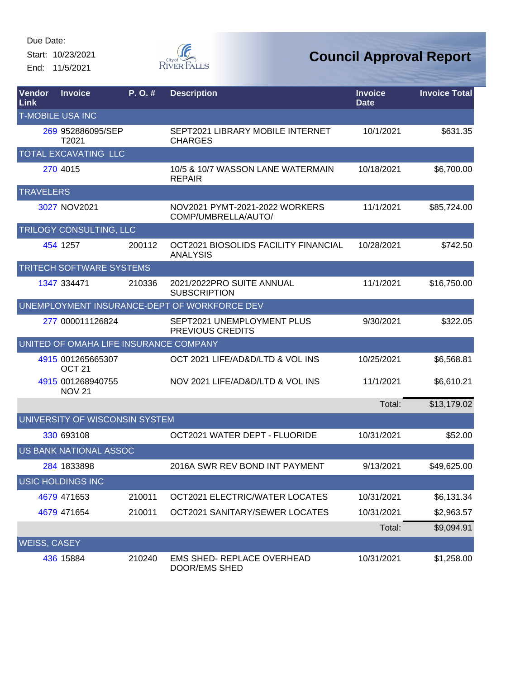Start: 10/23/2021 End: 11/5/2021



| Vendor<br>Link      | <b>Invoice</b>                         | P. O.# | <b>Description</b>                                      | <b>Invoice</b><br><b>Date</b> | <b>Invoice Total</b> |
|---------------------|----------------------------------------|--------|---------------------------------------------------------|-------------------------------|----------------------|
|                     | <b>T-MOBILE USA INC</b>                |        |                                                         |                               |                      |
|                     | 269 952886095/SEP<br>T2021             |        | SEPT2021 LIBRARY MOBILE INTERNET<br><b>CHARGES</b>      | 10/1/2021                     | \$631.35             |
|                     | TOTAL EXCAVATING LLC                   |        |                                                         |                               |                      |
|                     | 270 4015                               |        | 10/5 & 10/7 WASSON LANE WATERMAIN<br><b>REPAIR</b>      | 10/18/2021                    | \$6,700.00           |
| <b>TRAVELERS</b>    |                                        |        |                                                         |                               |                      |
|                     | 3027 NOV2021                           |        | NOV2021 PYMT-2021-2022 WORKERS<br>COMP/UMBRELLA/AUTO/   | 11/1/2021                     | \$85,724.00          |
|                     | TRILOGY CONSULTING, LLC                |        |                                                         |                               |                      |
|                     | 454 1257                               | 200112 | OCT2021 BIOSOLIDS FACILITY FINANCIAL<br><b>ANALYSIS</b> | 10/28/2021                    | \$742.50             |
|                     | <b>TRITECH SOFTWARE SYSTEMS</b>        |        |                                                         |                               |                      |
|                     | 1347 334471                            | 210336 | 2021/2022PRO SUITE ANNUAL<br><b>SUBSCRIPTION</b>        | 11/1/2021                     | \$16,750.00          |
|                     |                                        |        | UNEMPLOYMENT INSURANCE-DEPT OF WORKFORCE DEV            |                               |                      |
|                     | 277 000011126824                       |        | SEPT2021 UNEMPLOYMENT PLUS<br>PREVIOUS CREDITS          | 9/30/2021                     | \$322.05             |
|                     | UNITED OF OMAHA LIFE INSURANCE COMPANY |        |                                                         |                               |                      |
|                     | 4915 001265665307<br>OCT <sub>21</sub> |        | OCT 2021 LIFE/AD&D/LTD & VOL INS                        | 10/25/2021                    | \$6,568.81           |
|                     | 4915 001268940755<br><b>NOV 21</b>     |        | NOV 2021 LIFE/AD&D/LTD & VOL INS                        | 11/1/2021                     | \$6,610.21           |
|                     |                                        |        |                                                         | Total:                        | \$13,179.02          |
|                     | UNIVERSITY OF WISCONSIN SYSTEM         |        |                                                         |                               |                      |
|                     | 330 693108                             |        | OCT2021 WATER DEPT - FLUORIDE                           | 10/31/2021                    | \$52.00              |
|                     | US BANK NATIONAL ASSOC                 |        |                                                         |                               |                      |
|                     | 284 1833898                            |        | 2016A SWR REV BOND INT PAYMENT                          | 9/13/2021                     | \$49,625.00          |
|                     | <b>USIC HOLDINGS INC</b>               |        |                                                         |                               |                      |
|                     | 4679 471653                            | 210011 | OCT2021 ELECTRIC/WATER LOCATES                          | 10/31/2021                    | \$6,131.34           |
|                     | 4679 471654                            | 210011 | OCT2021 SANITARY/SEWER LOCATES                          | 10/31/2021                    | \$2,963.57           |
|                     |                                        |        |                                                         | Total:                        | \$9,094.91           |
| <b>WEISS, CASEY</b> |                                        |        |                                                         |                               |                      |
|                     | 436 15884                              | 210240 | <b>EMS SHED- REPLACE OVERHEAD</b><br>DOOR/EMS SHED      | 10/31/2021                    | \$1,258.00           |